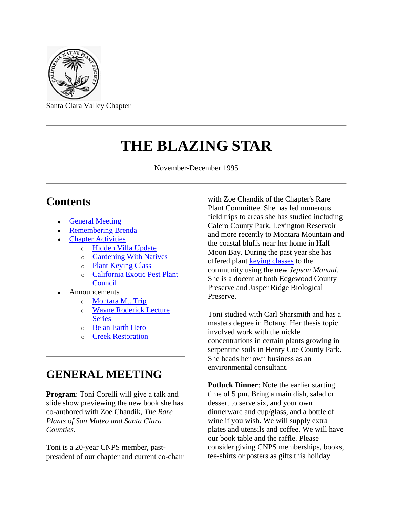

Santa Clara Valley Chapter

# **THE BLAZING STAR**

November-December 1995

### **Contents**

- [General Meeting](#page-0-0)
- [Remembering Brenda](#page-1-0)
- [Chapter Activities](#page-2-0)
	- o [Hidden Villa Update](#page-2-1)
	- o [Gardening With Natives](#page-2-2)
	- o [Plant Keying Class](#page-2-3)
	- o [California Exotic Pest Plant](#page-2-4)  **[Council](#page-2-4)**
- **Announcements** 
	- o [Montara Mt. Trip](#page-3-0)
	- o [Wayne Roderick Lecture](#page-3-1)  **[Series](#page-3-1)**
	- o [Be an Earth Hero](#page-4-0)
	- o [Creek Restoration](#page-4-1)

### <span id="page-0-0"></span>**GENERAL MEETING**

**Program**: Toni Corelli will give a talk and slide show previewing the new book she has co-authored with Zoe Chandik, *The Rare Plants of San Mateo and Santa Clara Counties*.

Toni is a 20-year CNPS member, pastpresident of our chapter and current co-chair with Zoe Chandik of the Chapter's Rare Plant Committee. She has led numerous field trips to areas she has studied including Calero County Park, Lexington Reservoir and more recently to Montara Mountain and the coastal bluffs near her home in Half Moon Bay. During the past year she has offered plant [keying classes](#page-2-3) to the community using the new *Jepson Manual*. She is a docent at both Edgewood County Preserve and Jasper Ridge Biological Preserve.

Toni studied with Carl Sharsmith and has a masters degree in Botany. Her thesis topic involved work with the nickle concentrations in certain plants growing in serpentine soils in Henry Coe County Park. She heads her own business as an environmental consultant.

**Potluck Dinner**: Note the earlier starting time of 5 pm. Bring a main dish, salad or dessert to serve six, and your own dinnerware and cup/glass, and a bottle of wine if you wish. We will supply extra plates and utensils and coffee. We will have our book table and the raffle. Please consider giving CNPS memberships, books, tee-shirts or posters as gifts this holiday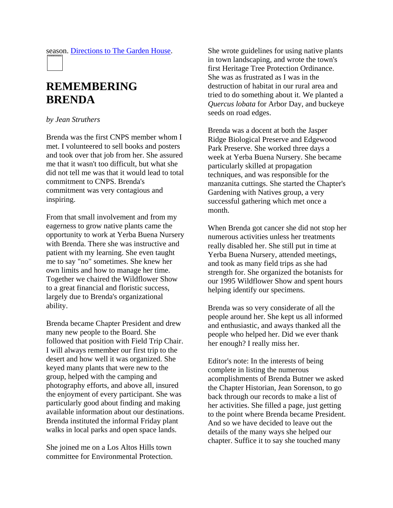season. [Directions to The Garden House.](file://Sul-kiwi/backups/SSRC/SSRC/rawlings/CNPS/WWW/shoup.htm)

### <span id="page-1-0"></span>**REMEMBERING BRENDA**

#### *by Jean Struthers*

Brenda was the first CNPS member whom I met. I volunteered to sell books and posters and took over that job from her. She assured me that it wasn't too difficult, but what she did not tell me was that it would lead to total commitment to CNPS. Brenda's commitment was very contagious and inspiring.

From that small involvement and from my eagerness to grow native plants came the opportunity to work at Yerba Buena Nursery with Brenda. There she was instructive and patient with my learning. She even taught me to say "no" sometimes. She knew her own limits and how to manage her time. Together we chaired the Wildflower Show to a great financial and floristic success, largely due to Brenda's organizational ability.

Brenda became Chapter President and drew many new people to the Board. She followed that position with Field Trip Chair. I will always remember our first trip to the desert and how well it was organized. She keyed many plants that were new to the group, helped with the camping and photography efforts, and above all, insured the enjoyment of every participant. She was particularly good about finding and making available information about our destinations. Brenda instituted the informal Friday plant walks in local parks and open space lands.

She joined me on a Los Altos Hills town committee for Environmental Protection. She wrote guidelines for using native plants in town landscaping, and wrote the town's first Heritage Tree Protection Ordinance. She was as frustrated as I was in the destruction of habitat in our rural area and tried to do something about it. We planted a *Quercus lobata* for Arbor Day, and buckeye seeds on road edges.

Brenda was a docent at both the Jasper Ridge Biological Preserve and Edgewood Park Preserve. She worked three days a week at Yerba Buena Nursery. She became particularly skilled at propagation techniques, and was responsible for the manzanita cuttings. She started the Chapter's Gardening with Natives group, a very successful gathering which met once a month.

When Brenda got cancer she did not stop her numerous activities unless her treatments really disabled her. She still put in time at Yerba Buena Nursery, attended meetings, and took as many field trips as she had strength for. She organized the botanists for our 1995 Wildflower Show and spent hours helping identify our specimens.

Brenda was so very considerate of all the people around her. She kept us all informed and enthusiastic, and aways thanked all the people who helped her. Did we ever thank her enough? I really miss her.

Editor's note: In the interests of being complete in listing the numerous acomplishments of Brenda Butner we asked the Chapter Historian, Jean Sorenson, to go back through our records to make a list of her activities. She filled a page, just getting to the point where Brenda became President. And so we have decided to leave out the details of the many ways she helped our chapter. Suffice it to say she touched many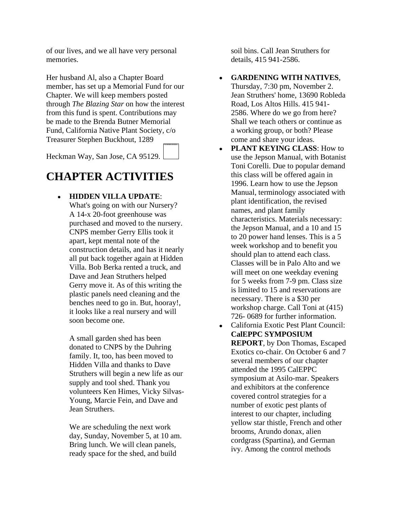of our lives, and we all have very personal memories.

Her husband Al, also a Chapter Board member, has set up a Memorial Fund for our Chapter. We will keep members posted through *The Blazing Star* on how the interest from this fund is spent. Contributions may be made to the Brenda Butner Memorial Fund, California Native Plant Society, c/o Treasurer Stephen Buckhout, 1289

Heckman Way, San Jose, CA 95129.

## <span id="page-2-0"></span>**CHAPTER ACTIVITIES**

### <span id="page-2-1"></span>**HIDDEN VILLA UPDATE**:

What's going on with our Nursery? A 14-x 20-foot greenhouse was purchased and moved to the nursery. CNPS member Gerry Ellis took it apart, kept mental note of the construction details, and has it nearly all put back together again at Hidden Villa. Bob Berka rented a truck, and Dave and Jean Struthers helped Gerry move it. As of this writing the plastic panels need cleaning and the benches need to go in. But, hooray!, it looks like a real nursery and will soon become one.

A small garden shed has been donated to CNPS by the Duhring family. It, too, has been moved to Hidden Villa and thanks to Dave Struthers will begin a new life as our supply and tool shed. Thank you volunteers Ken Himes, Vicky Silvas-Young, Marcie Fein, and Dave and Jean Struthers.

We are scheduling the next work day, Sunday, November 5, at 10 am. Bring lunch. We will clean panels, ready space for the shed, and build

soil bins. Call Jean Struthers for details, 415 941-2586.

- <span id="page-2-2"></span>**GARDENING WITH NATIVES**, Thursday, 7:30 pm, November 2. Jean Struthers' home, 13690 Robleda Road, Los Altos Hills. 415 941- 2586. Where do we go from here? Shall we teach others or continue as a working group, or both? Please come and share your ideas.
- <span id="page-2-3"></span>**PLANT KEYING CLASS**: How to  $\bullet$ use the Jepson Manual, with Botanist Toni Corelli. Due to popular demand this class will be offered again in 1996. Learn how to use the Jepson Manual, terminology associated with plant identification, the revised names, and plant family characteristics. Materials necessary: the Jepson Manual, and a 10 and 15 to 20 power hand lenses. This is a 5 week workshop and to benefit you should plan to attend each class. Classes will be in Palo Alto and we will meet on one weekday evening for 5 weeks from 7-9 pm. Class size is limited to 15 and reservations are necessary. There is a \$30 per workshop charge. Call Toni at (415) 726- 0689 for further information.
- <span id="page-2-4"></span>California Exotic Pest Plant Council: **CalEPPC SYMPOSIUM REPORT**, by Don Thomas, Escaped Exotics co-chair. On October 6 and 7 several members of our chapter attended the 1995 CalEPPC symposium at Asilo-mar. Speakers and exhibitors at the conference covered control strategies for a number of exotic pest plants of interest to our chapter, including yellow star thistle, French and other brooms, Arundo donax, alien cordgrass (Spartina), and German ivy. Among the control methods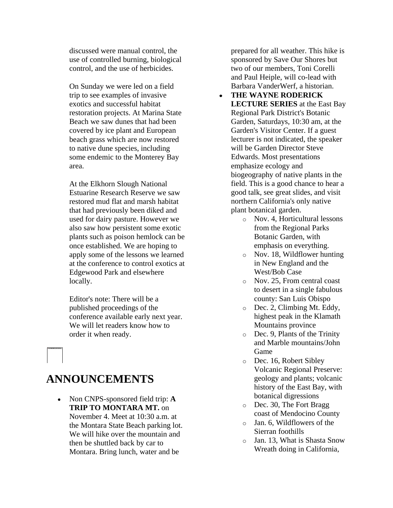discussed were manual control, the use of controlled burning, biological control, and the use of herbicides.

On Sunday we were led on a field trip to see examples of invasive exotics and successful habitat restoration projects. At Marina State Beach we saw dunes that had been covered by ice plant and European beach grass which are now restored to native dune species, including some endemic to the Monterey Bay area.

At the Elkhorn Slough National Estuarine Research Reserve we saw restored mud flat and marsh habitat that had previously been diked and used for dairy pasture. However we also saw how persistent some exotic plants such as poison hemlock can be once established. We are hoping to apply some of the lessons we learned at the conference to control exotics at Edgewood Park and elsewhere locally.

Editor's note: There will be a published proceedings of the conference available early next year. We will let readers know how to order it when ready.

### **ANNOUNCEMENTS**

<span id="page-3-0"></span>Non CNPS-sponsored field trip: **A**   $\bullet$ **TRIP TO MONTARA MT.** on November 4. Meet at 10:30 a.m. at the Montara State Beach parking lot. We will hike over the mountain and then be shuttled back by car to Montara. Bring lunch, water and be

prepared for all weather. This hike is sponsored by Save Our Shores but two of our members, Toni Corelli and Paul Heiple, will co-lead with Barbara VanderWerf, a historian.

- <span id="page-3-1"></span>**THE WAYNE RODERICK**   $\bullet$ **LECTURE SERIES** at the East Bay Regional Park District's Botanic Garden, Saturdays, 10:30 am, at the Garden's Visitor Center. If a guest lecturer is not indicated, the speaker will be Garden Director Steve Edwards. Most presentations emphasize ecology and biogeography of native plants in the field. This is a good chance to hear a good talk, see great slides, and visit northern California's only native plant botanical garden.
	- o Nov. 4, Horticultural lessons from the Regional Parks Botanic Garden, with emphasis on everything.
	- o Nov. 18, Wildflower hunting in New England and the West/Bob Case
	- o Nov. 25, From central coast to desert in a single fabulous county: San Luis Obispo
	- o Dec. 2, Climbing Mt. Eddy, highest peak in the Klamath Mountains province
	- o Dec. 9, Plants of the Trinity and Marble mountains/John Game
	- o Dec. 16, Robert Sibley Volcanic Regional Preserve: geology and plants; volcanic history of the East Bay, with botanical digressions
	- o Dec. 30, The Fort Bragg coast of Mendocino County
	- o Jan. 6, Wildflowers of the Sierran foothills
	- o Jan. 13, What is Shasta Snow Wreath doing in California,